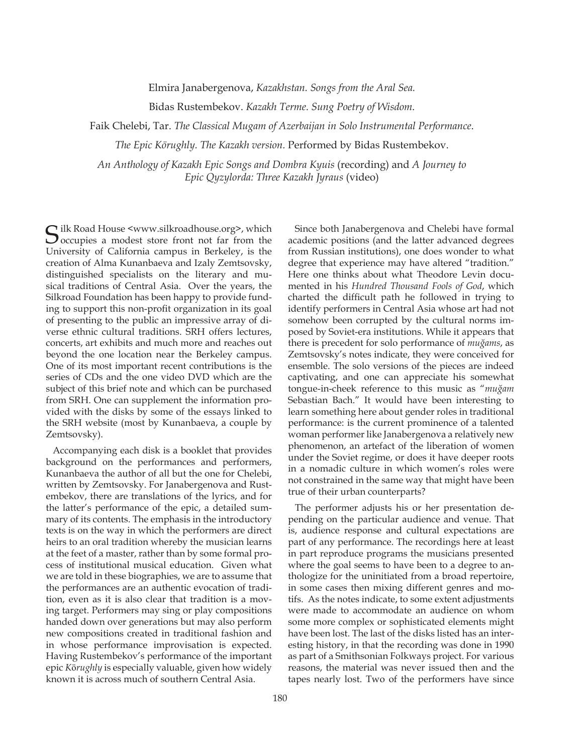Elmira Janabergenova, *Kazakhstan.* Songs from the Aral Sea.

Bidas Rustembekov. *Kazakh Terme. Sung Poetry of Wisdom*.

Faik Chelebi, Tar. *The Classical Mugam of Azerbaijan in Solo Instrumental Performance.* 

*The Epic Körughly. The Kazakh version. Performed by Bidas Rustembekov.* 

*An Anthology of Kazakh Epic Songs and Dombra Kyuis (recording) and A Journey to Epic Qyzylorda: Three Kazakh Jyraus (video)* 

 $\bigcap$  ilk Road House <www.silkroadhouse.org>, which  $\overline{\smash{\bigcup}}$  occupies a modest store front not far from the University of California campus in Berkeley, is the creation of Alma Kunanbaeva and Izaly Zemtsovsky, distinguished specialists on the literary and musical traditions of Central Asia. Over the years, the Silkroad Foundation has been happy to provide funding to support this non-profit organization in its goal of presenting to the public an impressive array of diverse ethnic cultural traditions. SRH offers lectures, concerts, art exhibits and much more and reaches out beyond the one location near the Berkeley campus. One of its most important recent contributions is the series of CDs and the one video DVD which are the subject of this brief note and which can be purchased from SRH. One can supplement the information provided with the disks by some of the essays linked to the SRH website (most by Kunanbaeva, a couple by Zemtsovsky).

Accompanying each disk is a booklet that provides background on the performances and performers, Kunanbaeva the author of all but the one for Chelebi, written by Zemtsovsky. For Janabergenova and Rustembekov, there are translations of the lyrics, and for the latter's performance of the epic, a detailed summary of its contents. The emphasis in the introductory texts is on the way in which the performers are direct heirs to an oral tradition whereby the musician learns at the feet of a master, rather than by some formal process of institutional musical education. Given what we are told in these biographies, we are to assume that the performances are an authentic evocation of tradition, even as it is also clear that tradition is a moving target. Performers may sing or play compositions handed down over generations but may also perform new compositions created in traditional fashion and in whose performance improvisation is expected. Having Rustembekov's performance of the important epic *Körughly* is especially valuable, given how widely known it is across much of southern Central Asia.

Since both Janabergenova and Chelebi have formal academic positions (and the latter advanced degrees from Russian institutions), one does wonder to what degree that experience may have altered "tradition." Here one thinks about what Theodore Levin documented in his *Hundred Thousand Fools of God*, which charted the difficult path he followed in trying to identify performers in Central Asia whose art had not somehow been corrupted by the cultural norms imposed by Soviet-era institutions. While it appears that there is precedent for solo performance of *muğams*, as Zemtsovsky's notes indicate, they were conceived for ensemble. The solo versions of the pieces are indeed captivating, and one can appreciate his somewhat tongue-in-cheek reference to this music as "*muğam* Sebastian Bach." It would have been interesting to learn something here about gender roles in traditional performance: is the current prominence of a talented woman performer like Janabergenova a relatively new phenomenon, an artefact of the liberation of women under the Soviet regime, or does it have deeper roots in a nomadic culture in which women's roles were not constrained in the same way that might have been true of their urban counterparts?

The performer adjusts his or her presentation depending on the particular audience and venue. That is, audience response and cultural expectations are part of any performance. The recordings here at least in part reproduce programs the musicians presented where the goal seems to have been to a degree to anthologize for the uninitiated from a broad repertoire, in some cases then mixing different genres and motifs. As the notes indicate, to some extent adjustments were made to accommodate an audience on whom some more complex or sophisticated elements might have been lost. The last of the disks listed has an interesting history, in that the recording was done in 1990 as part of a Smithsonian Folkways project. For various reasons, the material was never issued then and the tapes nearly lost. Two of the performers have since